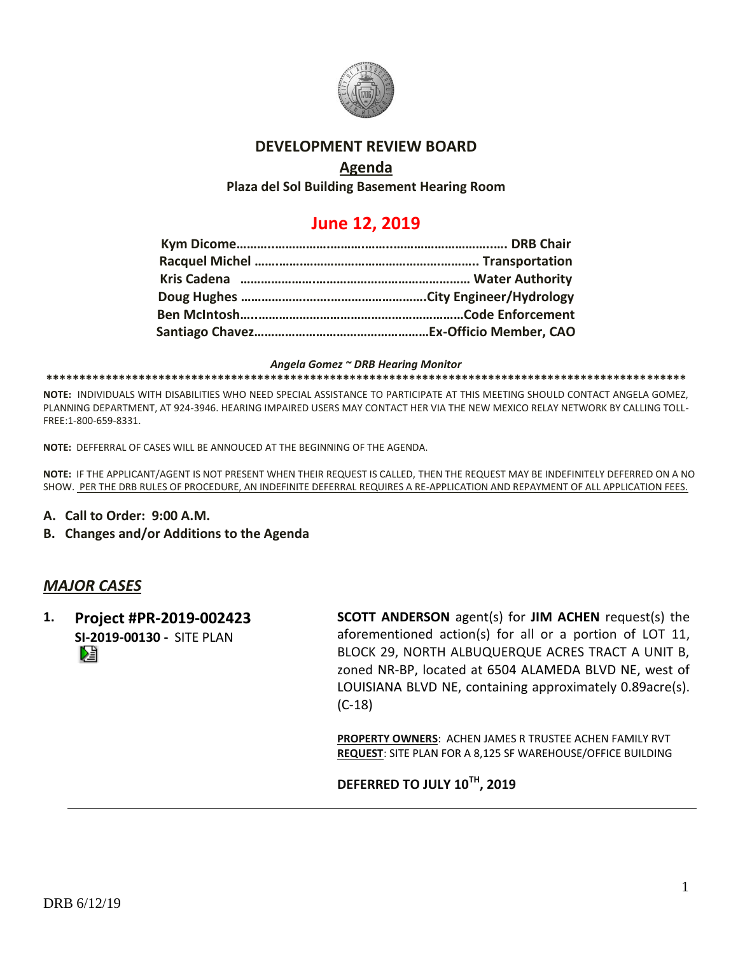

## **DEVELOPMENT REVIEW BOARD**

## **Agenda**

**Plaza del Sol Building Basement Hearing Room**

# **June 12, 2019**

#### *Angela Gomez ~ DRB Hearing Monitor*

**\*\*\*\*\*\*\*\*\*\*\*\*\*\*\*\*\*\*\*\*\*\*\*\*\*\*\*\*\*\*\*\*\*\*\*\*\*\*\*\*\*\*\*\*\*\*\*\*\*\*\*\*\*\*\*\*\*\*\*\*\*\*\*\*\*\*\*\*\*\*\*\*\*\*\*\*\*\*\*\*\*\*\*\*\*\*\*\*\*\*\*\*\*\*\*\*\***

**NOTE:** INDIVIDUALS WITH DISABILITIES WHO NEED SPECIAL ASSISTANCE TO PARTICIPATE AT THIS MEETING SHOULD CONTACT ANGELA GOMEZ, PLANNING DEPARTMENT, AT 924-3946. HEARING IMPAIRED USERS MAY CONTACT HER VIA THE NEW MEXICO RELAY NETWORK BY CALLING TOLL-FREE:1-800-659-8331.

**NOTE:** DEFFERRAL OF CASES WILL BE ANNOUCED AT THE BEGINNING OF THE AGENDA.

**NOTE:** IF THE APPLICANT/AGENT IS NOT PRESENT WHEN THEIR REQUEST IS CALLED, THEN THE REQUEST MAY BE INDEFINITELY DEFERRED ON A NO SHOW. PER THE DRB RULES OF PROCEDURE, AN INDEFINITE DEFERRAL REQUIRES A RE-APPLICATION AND REPAYMENT OF ALL APPLICATION FEES.

- **A. Call to Order: 9:00 A.M.**
- **B. Changes and/or Additions to the Agenda**

## *MAJOR CASES*

**1. Project #PR-2019-002423 SI-2019-00130 -** SITE PLAN

**SCOTT ANDERSON** agent(s) for **JIM ACHEN** request(s) the aforementioned action(s) for all or a portion of LOT 11, BLOCK 29, NORTH ALBUQUERQUE ACRES TRACT A UNIT B, zoned NR-BP, located at 6504 ALAMEDA BLVD NE, west of LOUISIANA BLVD NE, containing approximately 0.89acre(s). (C-18)

**PROPERTY OWNERS**: ACHEN JAMES R TRUSTEE ACHEN FAMILY RVT **REQUEST**: SITE PLAN FOR A 8,125 SF WAREHOUSE/OFFICE BUILDING

**DEFERRED TO JULY 10TH, 2019**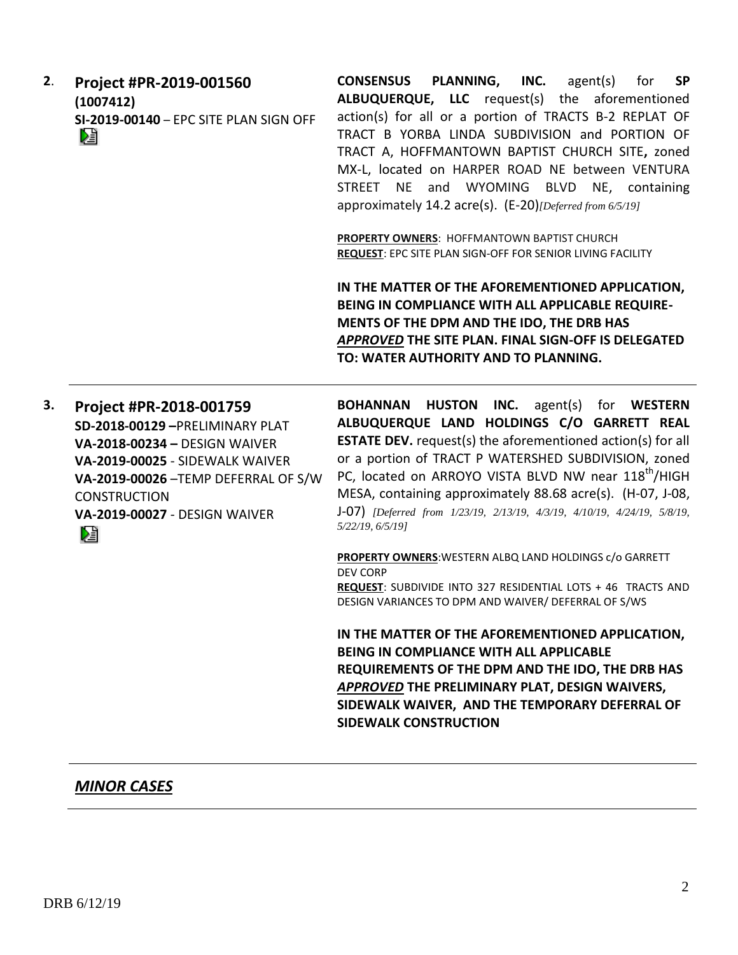**CONSENSUS PLANNING, INC.** agent(s) for **SP 2**. **Project #PR-2019-001560 ALBUQUERQUE, LLC** request(s) the aforementioned **(1007412)** action(s) for all or a portion of TRACTS B-2 REPLAT OF **SI-2019-00140** – EPC SITE PLAN SIGN OFF TRACT B YORBA LINDA SUBDIVISION and PORTION OF DÊ TRACT A, HOFFMANTOWN BAPTIST CHURCH SITE**,** zoned MX-L, located on HARPER ROAD NE between VENTURA STREET NE and WYOMING BLVD NE, containing approximately 14.2 acre(s). (E-20)*[Deferred from 6/5/19]*

> **PROPERTY OWNERS**: HOFFMANTOWN BAPTIST CHURCH **REQUEST**: EPC SITE PLAN SIGN-OFF FOR SENIOR LIVING FACILITY

**IN THE MATTER OF THE AFOREMENTIONED APPLICATION, BEING IN COMPLIANCE WITH ALL APPLICABLE REQUIRE-MENTS OF THE DPM AND THE IDO, THE DRB HAS**  *APPROVED* **THE SITE PLAN. FINAL SIGN-OFF IS DELEGATED TO: WATER AUTHORITY AND TO PLANNING.** 

**3. Project #PR-2018-001759 SD-2018-00129 –**PRELIMINARY PLAT **VA-2018-00234 –** DESIGN WAIVER **VA-2019-00025** - SIDEWALK WAIVER **VA-2019-00026** –TEMP DEFERRAL OF S/W **CONSTRUCTION VA-2019-00027** - DESIGN WAIVER Dà

**BOHANNAN HUSTON INC.** agent(s) for **WESTERN ALBUQUERQUE LAND HOLDINGS C/O GARRETT REAL ESTATE DEV.** request(s) the aforementioned action(s) for all or a portion of TRACT P WATERSHED SUBDIVISION, zoned PC, located on ARROYO VISTA BLVD NW near 118<sup>th</sup>/HIGH MESA, containing approximately 88.68 acre(s). (H-07, J-08, J-07) *[Deferred from 1/23/19, 2/13/19, 4/3/19, 4/10/19, 4/24/19, 5/8/19, 5/22/19, 6/5/19]*

**PROPERTY OWNERS**:WESTERN ALBQ LAND HOLDINGS c/o GARRETT DEV CORP **REQUEST**: SUBDIVIDE INTO 327 RESIDENTIAL LOTS + 46 TRACTS AND DESIGN VARIANCES TO DPM AND WAIVER/ DEFERRAL OF S/WS

**IN THE MATTER OF THE AFOREMENTIONED APPLICATION, BEING IN COMPLIANCE WITH ALL APPLICABLE REQUIREMENTS OF THE DPM AND THE IDO, THE DRB HAS**  *APPROVED* **THE PRELIMINARY PLAT, DESIGN WAIVERS, SIDEWALK WAIVER, AND THE TEMPORARY DEFERRAL OF SIDEWALK CONSTRUCTION**

## *MINOR CASES*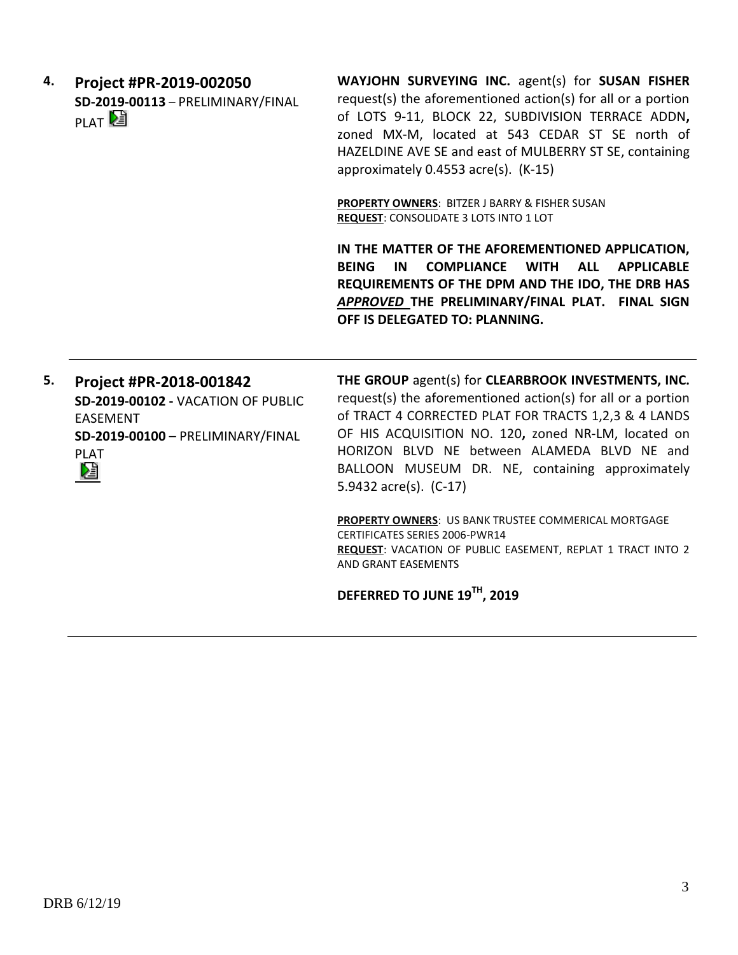**4. Project #PR-2019-002050 SD-2019-00113** – PRELIMINARY/FINAL PLAT<sup>D</sup>

**WAYJOHN SURVEYING INC.** agent(s) for **SUSAN FISHER** request(s) the aforementioned action(s) for all or a portion of LOTS 9-11, BLOCK 22, SUBDIVISION TERRACE ADDN**,**  zoned MX-M, located at 543 CEDAR ST SE north of HAZELDINE AVE SE and east of MULBERRY ST SE, containing approximately 0.4553 acre(s). (K-15)

**PROPERTY OWNERS**: BITZER J BARRY & FISHER SUSAN **REQUEST**: CONSOLIDATE 3 LOTS INTO 1 LOT

**IN THE MATTER OF THE AFOREMENTIONED APPLICATION, BEING IN COMPLIANCE WITH ALL APPLICABLE REQUIREMENTS OF THE DPM AND THE IDO, THE DRB HAS**  *APPROVED* **THE PRELIMINARY/FINAL PLAT. FINAL SIGN OFF IS DELEGATED TO: PLANNING.**

**5. Project #PR-2018-001842 SD-2019-00102 -** VACATION OF PUBLIC EASEMENT **SD-2019-00100** – PRELIMINARY/FINAL PLAT Dà

**THE GROUP** agent(s) for **CLEARBROOK INVESTMENTS, INC.** request(s) the aforementioned action(s) for all or a portion of TRACT 4 CORRECTED PLAT FOR TRACTS 1,2,3 & 4 LANDS OF HIS ACQUISITION NO. 120**,** zoned NR-LM, located on HORIZON BLVD NE between ALAMEDA BLVD NE and BALLOON MUSEUM DR. NE, containing approximately 5.9432 acre(s). (C-17)

**PROPERTY OWNERS**: US BANK TRUSTEE COMMERICAL MORTGAGE CERTIFICATES SERIES 2006-PWR14 **REQUEST**: VACATION OF PUBLIC EASEMENT, REPLAT 1 TRACT INTO 2 AND GRANT EASEMENTS

**DEFERRED TO JUNE 19TH, 2019**